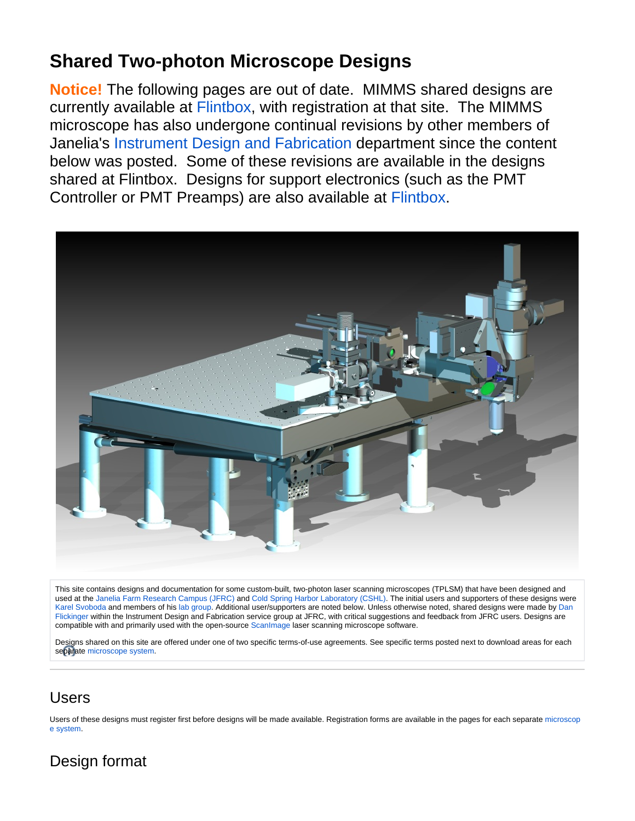# **Shared Two-photon Microscope Designs**

**Notice!** The following pages are out of date. MIMMS shared designs are currently available at [Flintbox](http://www.flintbox.com/public/project/29726/), with registration at that site. The MIMMS microscope has also undergone continual revisions by other members of Janelia's [Instrument Design and Fabrication](https://www.janelia.org/support-team/instrument-design-fabrication) department since the content below was posted. Some of these revisions are available in the designs shared at Flintbox. Designs for support electronics (such as the PMT Controller or PMT Preamps) are also available at [Flintbox.](http://www.flintbox.com/public/search/?search_field=janelia&x=0&y=0)



This site contains designs and documentation for some custom-built, two-photon laser scanning microscopes (TPLSM) that have been designed and used at the [Janelia Farm Research Campus \(JFRC\)](http://www.hhmi.org/janelia/) and [Cold Spring Harbor Laboratory \(CSHL\)](http://www.cshl.edu/). The initial users and supporters of these designs were [Karel Svoboda](http://research.janelia.org/labs/display/SvobodaLab/Karel+Svoboda) and members of his [lab group.](http://research.janelia.org/Svoboda/) Additional user/supporters are noted below. Unless otherwise noted, shared designs were made by Dan [Flickinger](mailto:flickingerd@janelia.hhmi.org) within the Instrument Design and Fabrication service group at JFRC, with critical suggestions and feedback from JFRC users. Designs are compatible with and primarily used with the open-source [ScanImage](https://wiki.janelia.org/wiki/pages/viewpage.action?pageId=4130574) laser scanning microscope software.

Designs shared on this site are offered under one of two specific terms-of-use agreements. See specific terms posted next to download areas for each separate [microscope system.](#page-1-0)

# Users

Users of these designs must register first before designs will be made available. Registration forms are available in the pages for each separate [microscop](#page-1-0) [e system](#page-1-0).

# Design format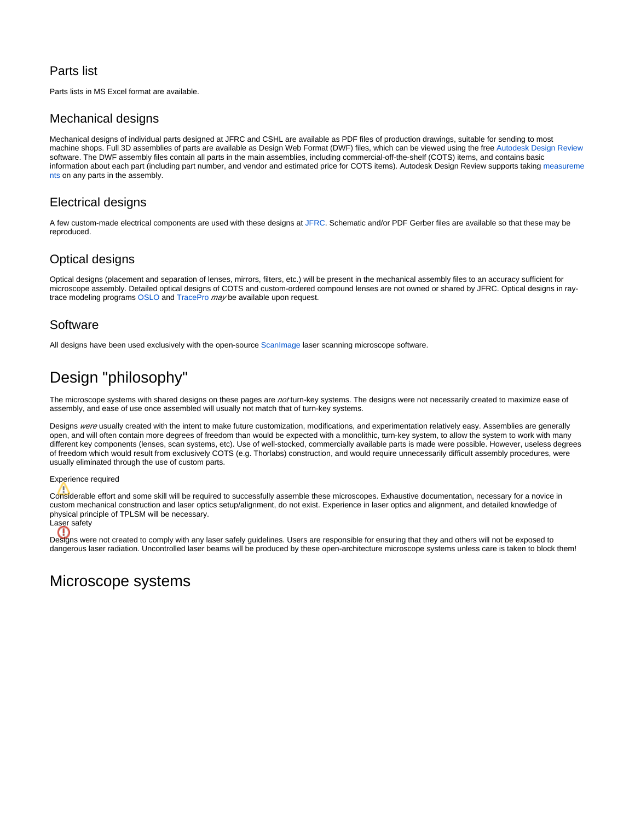## Parts list

Parts lists in MS Excel format are available.

### Mechanical designs

Mechanical designs of individual parts designed at JFRC and CSHL are available as PDF files of production drawings, suitable for sending to most machine shops. Full 3D assemblies of parts are available as Design Web Format (DWF) files, which can be viewed using the free [Autodesk Design Review](http://www.autodesk.com/designreview) software. The DWF assembly files contain all parts in the main assemblies, including commercial-off-the-shelf (COTS) items, and contains basic information about each part (including part number, and vendor and estimated price for COTS items). Autodesk Design Review supports taking [measureme](http://usa.autodesk.com/adsk/servlet/pc/index?siteID=123112&id=8411823#channels_Measure) [nts](http://usa.autodesk.com/adsk/servlet/pc/index?siteID=123112&id=8411823#channels_Measure) on any parts in the assembly.

## Electrical designs

A few custom-made electrical components are used with these designs at [JFRC.](http://www.hhmi.org/janelia/) Schematic and/or PDF Gerber files are available so that these may be reproduced.

## Optical designs

Optical designs (placement and separation of lenses, mirrors, filters, etc.) will be present in the mechanical assembly files to an accuracy sufficient for microscope assembly. Detailed optical designs of COTS and custom-ordered compound lenses are not owned or shared by JFRC. Optical designs in ray-trace modeling programs [OSLO](http://www.lambdares.com/software_products/oslo/) and [TracePro](http://www.lambdares.com/software_products/tracepro/) may be available upon request.

## **Software**

All designs have been used exclusively with the open-source [ScanImage](https://wiki.janelia.org/wiki/pages/viewpage.action?pageId=4130574) laser scanning microscope software.

# Design "philosophy"

The microscope systems with shared designs on these pages are not turn-key systems. The designs were not necessarily created to maximize ease of assembly, and ease of use once assembled will usually not match that of turn-key systems.

Designs were usually created with the intent to make future customization, modifications, and experimentation relatively easy. Assemblies are generally open, and will often contain more degrees of freedom than would be expected with a monolithic, turn-key system, to allow the system to work with many different key components (lenses, scan systems, etc). Use of well-stocked, commercially available parts is made were possible. However, useless degrees of freedom which would result from exclusively COTS (e.g. Thorlabs) construction, and would require unnecessarily difficult assembly procedures, were usually eliminated through the use of custom parts.

#### Experience required

Considerable effort and some skill will be required to successfully assemble these microscopes. Exhaustive documentation, necessary for a novice in custom mechanical construction and laser optics setup/alignment, do not exist. Experience in laser optics and alignment, and detailed knowledge of physical principle of TPLSM will be necessary. Laser safety

**Designs were not created to comply with any laser safely guidelines. Users are responsible for ensuring that they and others will not be exposed to Comply with any laser safely guidelines. Users are responsible for ensuri** dangerous laser radiation. Uncontrolled laser beams will be produced by these open-architecture microscope systems unless care is taken to block them!

## <span id="page-1-0"></span>Microscope systems